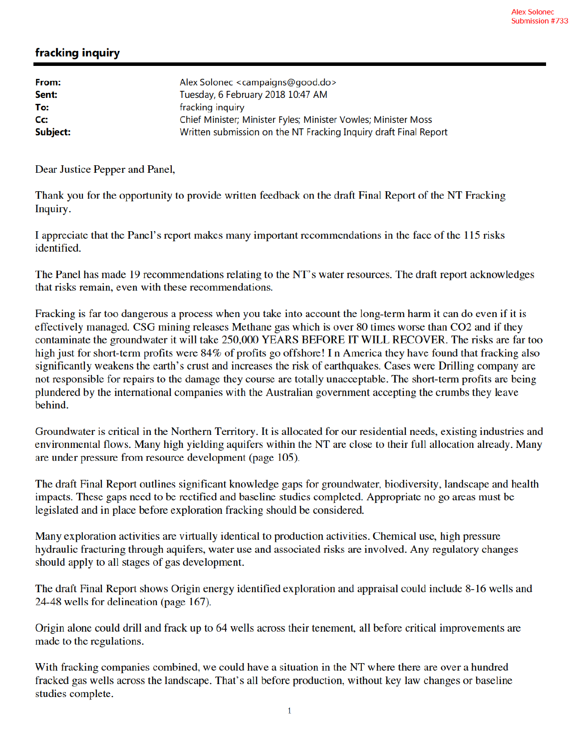## fracking inquiry

| Alex Solonec <campaigns@good.do></campaigns@good.do>             |
|------------------------------------------------------------------|
| Tuesday, 6 February 2018 10:47 AM                                |
| fracking inquiry                                                 |
| Chief Minister; Minister Fyles; Minister Vowles; Minister Moss   |
| Written submission on the NT Fracking Inquiry draft Final Report |
|                                                                  |

Dear Justice Pepper and Panel,

Thank you for the opportunity to provide written feedback on the draft Final Report of the NT Fracking Inquiry.

I appreciate that the Panel's report makes many important recommendations in the face of the 115 risks identified.

The Panel has made 19 recommendations relating to the NT's water resources. The draft report acknowledges that risks remain, even with these recommendations.

Fracking is far too dangerous a process when you take into account the long-term harm it can do even if it is effectively managed. CSG mining releases Methane gas which is over 80 times worse than CO2 and if they contaminate the groundwater it will take 250,000 YEARS BEFORE IT WILL RECOVER. The risks are far too high just for short-term profits were 84% of profits go offshore! In America they have found that fracking also significantly weakens the earth's crust and increases the risk of earthquakes. Cases were Drilling company are not responsible for repairs to the damage they course are totally unacceptable. The short-term profits are being plundered by the international companies with the Australian government accepting the crumbs they leave behind.

Groundwater is critical in the Northern Territory. It is allocated for our residential needs, existing industries and environmental flows. Many high yielding aquifers within the NT are close to their full allocation already. Many are under pressure from resource development (page 105).

The draft Final Report outlines significant knowledge gaps for groundwater, biodiversity, landscape and health impacts. These gaps need to be rectified and baseline studies completed. Appropriate no go areas must be legislated and in place before exploration fracking should be considered.

Many exploration activities are virtually identical to production activities. Chemical use, high pressure hydraulic fracturing through aquifers, water use and associated risks are involved. Any regulatory changes should apply to all stages of gas development.

The draft Final Report shows Origin energy identified exploration and appraisal could include 8-16 wells and 24-48 wells for delineation (page 167).

Origin alone could drill and frack up to 64 wells across their tenement, all before critical improvements are made to the regulations.

With fracking companies combined, we could have a situation in the NT where there are over a hundred fracked gas wells across the landscape. That's all before production, without key law changes or baseline studies complete.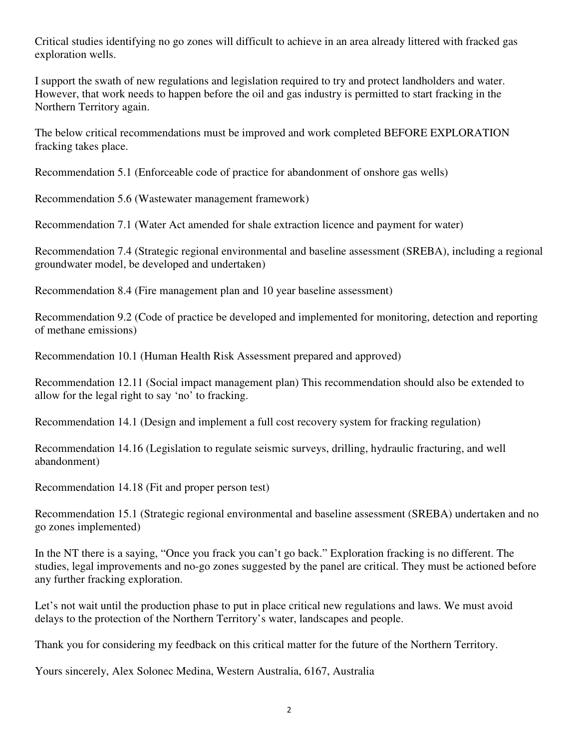Critical studies identifying no go zones will difficult to achieve in an area already littered with fracked gas exploration wells.

I support the swath of new regulations and legislation required to try and protect landholders and water. However, that work needs to happen before the oil and gas industry is permitted to start fracking in the Northern Territory again.

The below critical recommendations must be improved and work completed BEFORE EXPLORATION fracking takes place.

Recommendation 5.1 (Enforceable code of practice for abandonment of onshore gas wells)

Recommendation 5.6 (Wastewater management framework)

Recommendation 7.1 (Water Act amended for shale extraction licence and payment for water)

Recommendation 7.4 (Strategic regional environmental and baseline assessment (SREBA), including a regional groundwater model, be developed and undertaken)

Recommendation 8.4 (Fire management plan and 10 year baseline assessment)

Recommendation 9.2 (Code of practice be developed and implemented for monitoring, detection and reporting of methane emissions)

Recommendation 10.1 (Human Health Risk Assessment prepared and approved)

Recommendation 12.11 (Social impact management plan) This recommendation should also be extended to allow for the legal right to say 'no' to fracking.

Recommendation 14.1 (Design and implement a full cost recovery system for fracking regulation)

Recommendation 14.16 (Legislation to regulate seismic surveys, drilling, hydraulic fracturing, and well abandonment)

Recommendation 14.18 (Fit and proper person test)

Recommendation 15.1 (Strategic regional environmental and baseline assessment (SREBA) undertaken and no go zones implemented)

In the NT there is a saying, "Once you frack you can't go back." Exploration fracking is no different. The studies, legal improvements and no-go zones suggested by the panel are critical. They must be actioned before any further fracking exploration.

Let's not wait until the production phase to put in place critical new regulations and laws. We must avoid delays to the protection of the Northern Territory's water, landscapes and people.

Thank you for considering my feedback on this critical matter for the future of the Northern Territory.

Yours sincerely, Alex Solonec Medina, Western Australia, 6167, Australia